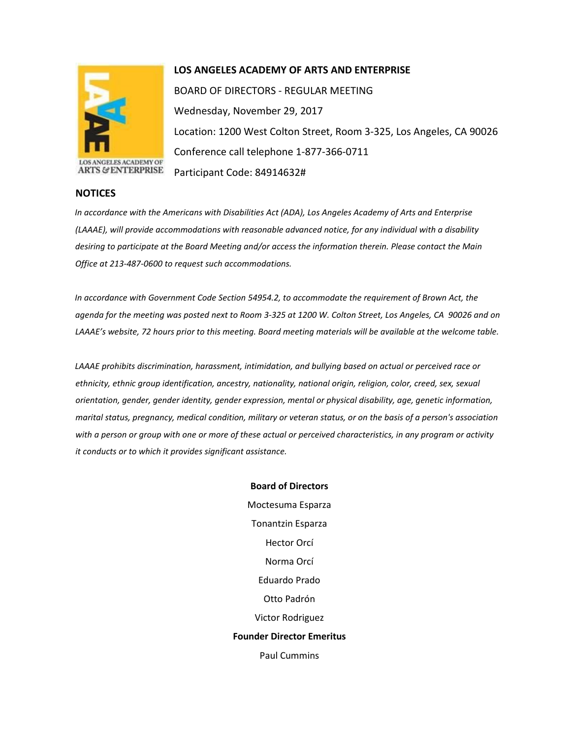

## **LOS ANGELES ACADEMY OF ARTS AND ENTERPRISE**

BOARD OF DIRECTORS - REGULAR MEETING Wednesday, November 29, 2017 Location: 1200 West Colton Street, Room 3-325, Los Angeles, CA 90026 Conference call telephone 1-877-366-0711 Participant Code: 84914632#

**ARTS & ENTERPRISE** 

## **NOTICES**

*In accordance with the Americans with Disabilities Act (ADA), Los Angeles Academy of Arts and Enterprise (LAAAE), will provide accommodations with reasonable advanced notice, for any individual with a disability desiring to participate at the Board Meeting and/or access the information therein. Please contact the Main Office at 213-487-0600 to request such accommodations.* 

*In accordance with Government Code Section 54954.2, to accommodate the requirement of Brown Act, the agenda for the meeting was posted next to Room 3-325 at 1200 W. Colton Street, Los Angeles, CA 90026 and on LAAAE's website, 72 hours prior to this meeting. Board meeting materials will be available at the welcome table.* 

*LAAAE prohibits discrimination, harassment, intimidation, and bullying based on actual or perceived race or ethnicity, ethnic group identification, ancestry, nationality, national origin, religion, color, creed, sex, sexual orientation, gender, gender identity, gender expression, mental or physical disability, age, genetic information, marital status, pregnancy, medical condition, military or veteran status, or on the basis of a person's association with a person or group with one or more of these actual or perceived characteristics, in any program or activity it conducts or to which it provides significant assistance.* 

> **Board of Directors** Moctesuma Esparza Tonantzin Esparza Hector Orcí Norma Orcí Eduardo Prado Otto Padrón Victor Rodriguez **Founder Director Emeritus** Paul Cummins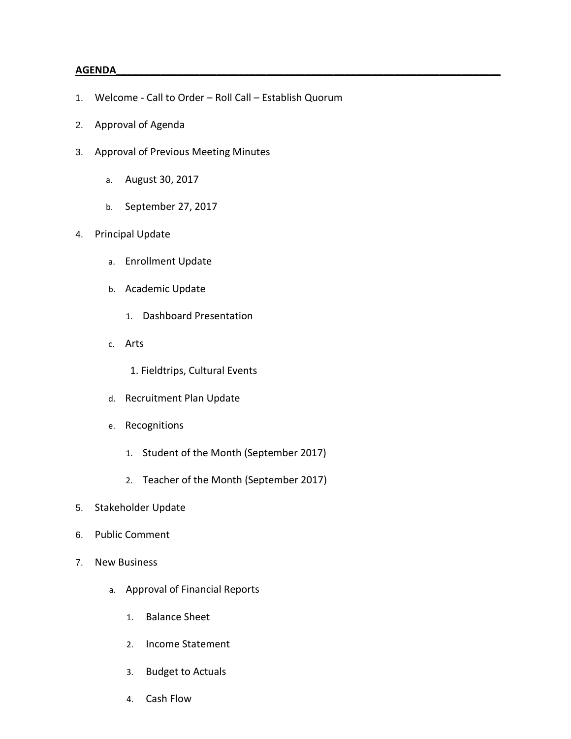## **AGENDA\_\_\_\_\_\_\_\_\_\_\_\_\_\_\_\_\_\_\_\_\_\_\_\_\_\_\_\_\_\_\_\_\_\_\_\_\_\_\_\_\_\_\_\_\_\_\_\_\_\_\_\_\_\_\_\_\_\_\_\_\_\_\_\_\_\_\_\_\_**

- 1. Welcome Call to Order Roll Call Establish Quorum
- 2. Approval of Agenda
- 3. Approval of Previous Meeting Minutes
	- a. August 30, 2017
	- b. September 27, 2017
- 4. Principal Update
	- a. Enrollment Update
	- b. Academic Update
		- 1. Dashboard Presentation
	- c. Arts
		- 1. Fieldtrips, Cultural Events
	- d. Recruitment Plan Update
	- e. Recognitions
		- 1. Student of the Month (September 2017)
		- 2. Teacher of the Month (September 2017)
- 5. Stakeholder Update
- 6. Public Comment
- 7. New Business
	- a. Approval of Financial Reports
		- 1. Balance Sheet
		- 2. Income Statement
		- 3. Budget to Actuals
		- 4. Cash Flow